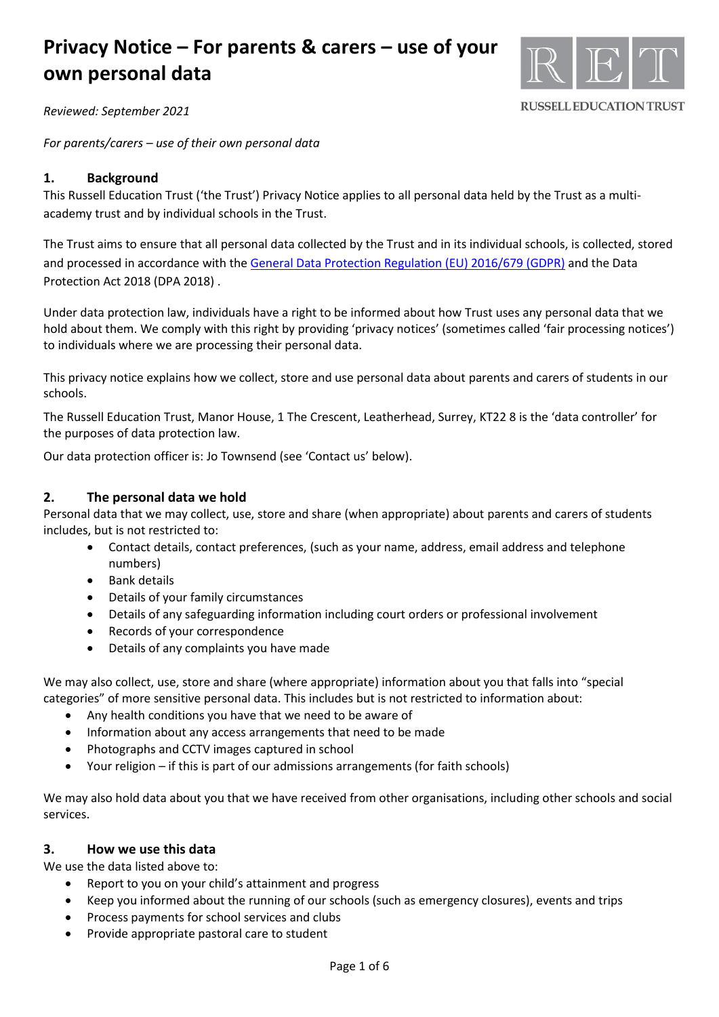

**RUSSELL EDUCATION TRUST** 

*Reviewed: September 2021*

*For parents/carers – use of their own personal data* 

## **1. Background**

This Russell Education Trust ('the Trust') Privacy Notice applies to all personal data held by the Trust as a multiacademy trust and by individual schools in the Trust.

The Trust aims to ensure that all personal data collected by the Trust and in its individual schools, is collected, stored and processed in accordance with th[e General Data Protection Regulation \(EU\) 2016/679 \(GDPR\)](http://data.consilium.europa.eu/doc/document/ST-5419-2016-INIT/en/pdf) and the Data Protection Act 2018 (DPA 2018) .

Under data protection law, individuals have a right to be informed about how Trust uses any personal data that we hold about them. We comply with this right by providing 'privacy notices' (sometimes called 'fair processing notices') to individuals where we are processing their personal data.

This privacy notice explains how we collect, store and use personal data about parents and carers of students in our schools.

The Russell Education Trust, Manor House, 1 The Crescent, Leatherhead, Surrey, KT22 8 is the 'data controller' for the purposes of data protection law.

Our data protection officer is: Jo Townsend (see 'Contact us' below).

## **2. The personal data we hold**

Personal data that we may collect, use, store and share (when appropriate) about parents and carers of students includes, but is not restricted to:

- Contact details, contact preferences, (such as your name, address, email address and telephone numbers)
- Bank details
- Details of your family circumstances
- Details of any safeguarding information including court orders or professional involvement
- Records of your correspondence
- Details of any complaints you have made

We may also collect, use, store and share (where appropriate) information about you that falls into "special categories" of more sensitive personal data. This includes but is not restricted to information about:

- Any health conditions you have that we need to be aware of
- Information about any access arrangements that need to be made
- Photographs and CCTV images captured in school
- Your religion if this is part of our admissions arrangements (for faith schools)

We may also hold data about you that we have received from other organisations, including other schools and social services.

## **3. How we use this data**

We use the data listed above to:

- Report to you on your child's attainment and progress
- Keep you informed about the running of our schools (such as emergency closures), events and trips
- Process payments for school services and clubs
- Provide appropriate pastoral care to student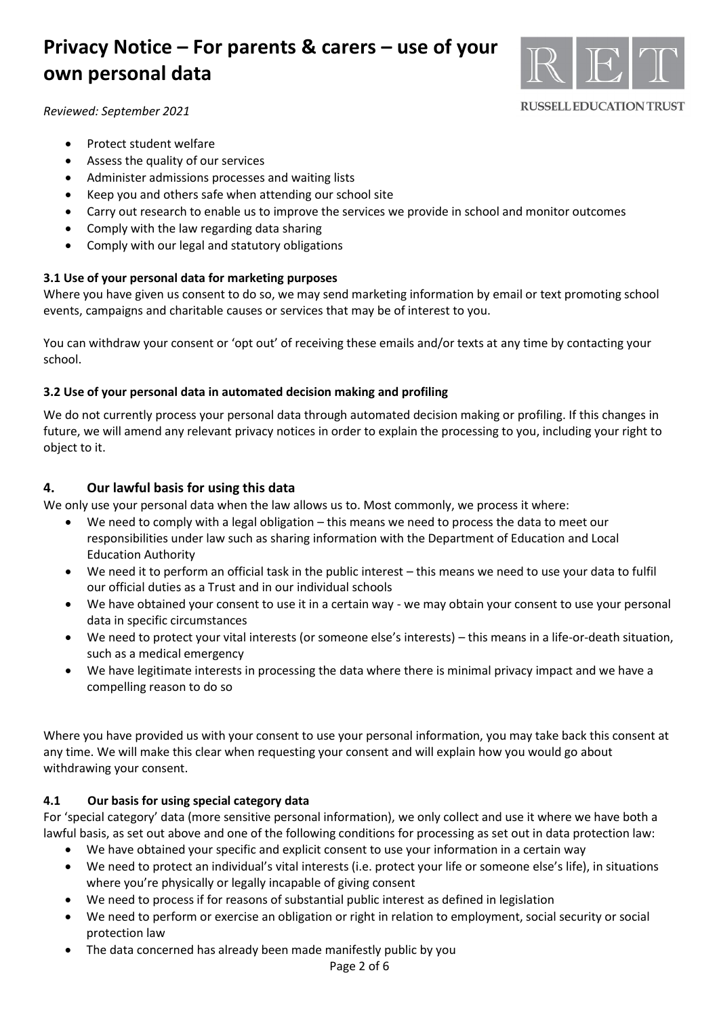

#### **RUSSELL EDUCATION TRUST**

*Reviewed: September 2021*

- Protect student welfare
- Assess the quality of our services
- Administer admissions processes and waiting lists
- Keep you and others safe when attending our school site
- Carry out research to enable us to improve the services we provide in school and monitor outcomes
- Comply with the law regarding data sharing
- Comply with our legal and statutory obligations

## **3.1 Use of your personal data for marketing purposes**

Where you have given us consent to do so, we may send marketing information by email or text promoting school events, campaigns and charitable causes or services that may be of interest to you.

You can withdraw your consent or 'opt out' of receiving these emails and/or texts at any time by contacting your school.

### **3.2 Use of your personal data in automated decision making and profiling**

We do not currently process your personal data through automated decision making or profiling. If this changes in future, we will amend any relevant privacy notices in order to explain the processing to you, including your right to object to it.

## **4. Our lawful basis for using this data**

We only use your personal data when the law allows us to. Most commonly, we process it where:

- We need to comply with a legal obligation this means we need to process the data to meet our responsibilities under law such as sharing information with the Department of Education and Local Education Authority
- We need it to perform an official task in the public interest this means we need to use your data to fulfil our official duties as a Trust and in our individual schools
- We have obtained your consent to use it in a certain way we may obtain your consent to use your personal data in specific circumstances
- We need to protect your vital interests (or someone else's interests) this means in a life-or-death situation, such as a medical emergency
- We have legitimate interests in processing the data where there is minimal privacy impact and we have a compelling reason to do so

Where you have provided us with your consent to use your personal information, you may take back this consent at any time. We will make this clear when requesting your consent and will explain how you would go about withdrawing your consent.

### **4.1 Our basis for using special category data**

For 'special category' data (more sensitive personal information), we only collect and use it where we have both a lawful basis, as set out above and one of the following conditions for processing as set out in data protection law:

- We have obtained your specific and explicit consent to use your information in a certain way
- We need to protect an individual's vital interests (i.e. protect your life or someone else's life), in situations where you're physically or legally incapable of giving consent
- We need to process if for reasons of substantial public interest as defined in legislation
- We need to perform or exercise an obligation or right in relation to employment, social security or social protection law
- The data concerned has already been made manifestly public by you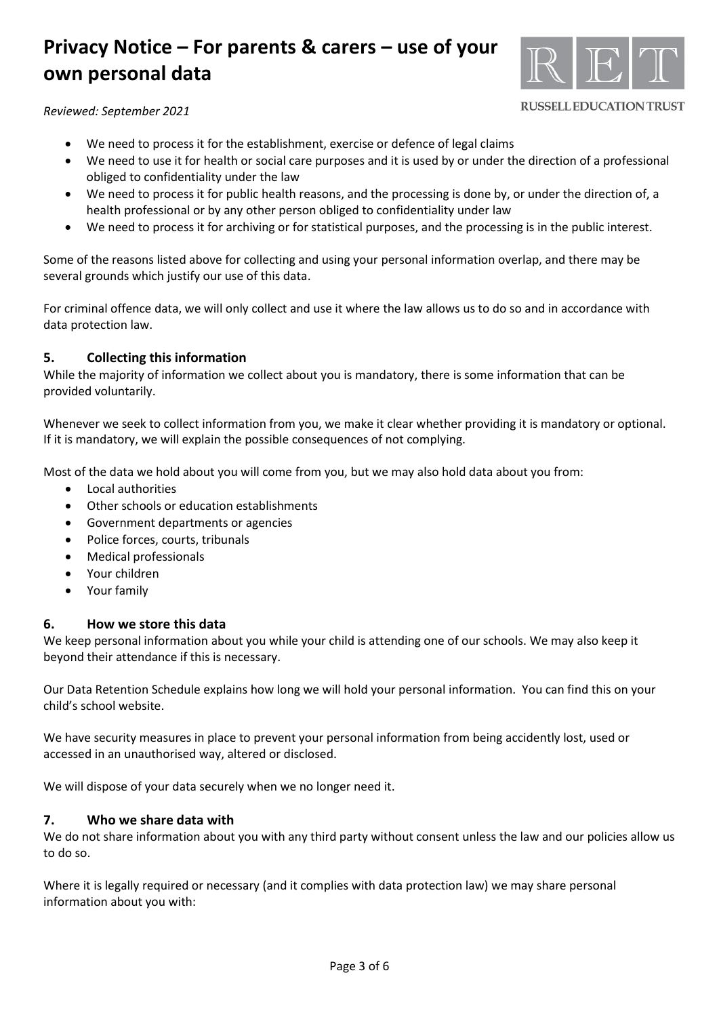

**RUSSELL EDUCATION TRUST** 

### *Reviewed: September 2021*

- We need to process it for the establishment, exercise or defence of legal claims
- We need to use it for health or social care purposes and it is used by or under the direction of a professional obliged to confidentiality under the law
- We need to process it for public health reasons, and the processing is done by, or under the direction of, a health professional or by any other person obliged to confidentiality under law
- We need to process it for archiving or for statistical purposes, and the processing is in the public interest.

Some of the reasons listed above for collecting and using your personal information overlap, and there may be several grounds which justify our use of this data.

For criminal offence data, we will only collect and use it where the law allows us to do so and in accordance with data protection law.

## **5. Collecting this information**

While the majority of information we collect about you is mandatory, there is some information that can be provided voluntarily.

Whenever we seek to collect information from you, we make it clear whether providing it is mandatory or optional. If it is mandatory, we will explain the possible consequences of not complying.

Most of the data we hold about you will come from you, but we may also hold data about you from:

- Local authorities
- Other schools or education establishments
- Government departments or agencies
- Police forces, courts, tribunals
- Medical professionals
- Your children
- Your family

## **6. How we store this data**

We keep personal information about you while your child is attending one of our schools. We may also keep it beyond their attendance if this is necessary.

Our Data Retention Schedule explains how long we will hold your personal information. You can find this on your child's school website.

We have security measures in place to prevent your personal information from being accidently lost, used or accessed in an unauthorised way, altered or disclosed.

We will dispose of your data securely when we no longer need it.

### **7. Who we share data with**

We do not share information about you with any third party without consent unless the law and our policies allow us to do so.

Where it is legally required or necessary (and it complies with data protection law) we may share personal information about you with: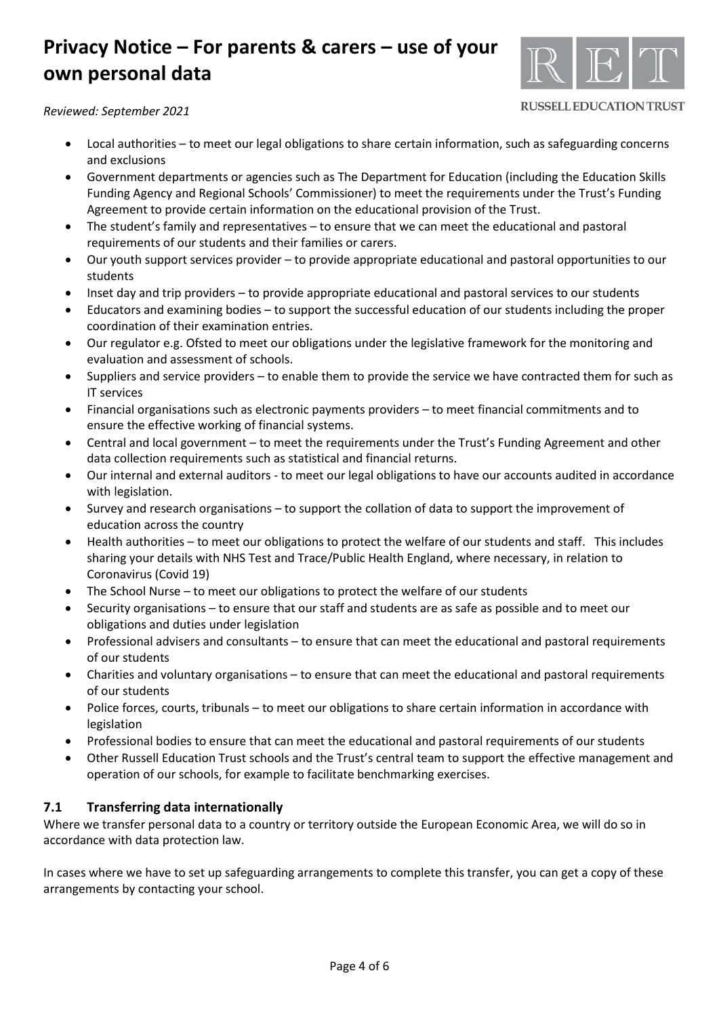

**RUSSELL EDUCATION TRUST** 

*Reviewed: September 2021*

- Local authorities to meet our legal obligations to share certain information, such as safeguarding concerns and exclusions
- Government departments or agencies such as The Department for Education (including the Education Skills Funding Agency and Regional Schools' Commissioner) to meet the requirements under the Trust's Funding Agreement to provide certain information on the educational provision of the Trust.
- The student's family and representatives to ensure that we can meet the educational and pastoral requirements of our students and their families or carers.
- Our youth support services provider to provide appropriate educational and pastoral opportunities to our students
- Inset day and trip providers to provide appropriate educational and pastoral services to our students
- Educators and examining bodies to support the successful education of our students including the proper coordination of their examination entries.
- Our regulator e.g. Ofsted to meet our obligations under the legislative framework for the monitoring and evaluation and assessment of schools.
- Suppliers and service providers to enable them to provide the service we have contracted them for such as IT services
- Financial organisations such as electronic payments providers to meet financial commitments and to ensure the effective working of financial systems.
- Central and local government to meet the requirements under the Trust's Funding Agreement and other data collection requirements such as statistical and financial returns.
- Our internal and external auditors to meet our legal obligations to have our accounts audited in accordance with legislation.
- Survey and research organisations to support the collation of data to support the improvement of education across the country
- Health authorities to meet our obligations to protect the welfare of our students and staff. This includes sharing your details with NHS Test and Trace/Public Health England, where necessary, in relation to Coronavirus (Covid 19)
- The School Nurse to meet our obligations to protect the welfare of our students
- Security organisations to ensure that our staff and students are as safe as possible and to meet our obligations and duties under legislation
- Professional advisers and consultants to ensure that can meet the educational and pastoral requirements of our students
- Charities and voluntary organisations to ensure that can meet the educational and pastoral requirements of our students
- Police forces, courts, tribunals to meet our obligations to share certain information in accordance with legislation
- Professional bodies to ensure that can meet the educational and pastoral requirements of our students
- Other Russell Education Trust schools and the Trust's central team to support the effective management and operation of our schools, for example to facilitate benchmarking exercises.

## **7.1 Transferring data internationally**

Where we transfer personal data to a country or territory outside the European Economic Area, we will do so in accordance with data protection law.

In cases where we have to set up safeguarding arrangements to complete this transfer, you can get a copy of these arrangements by contacting your school.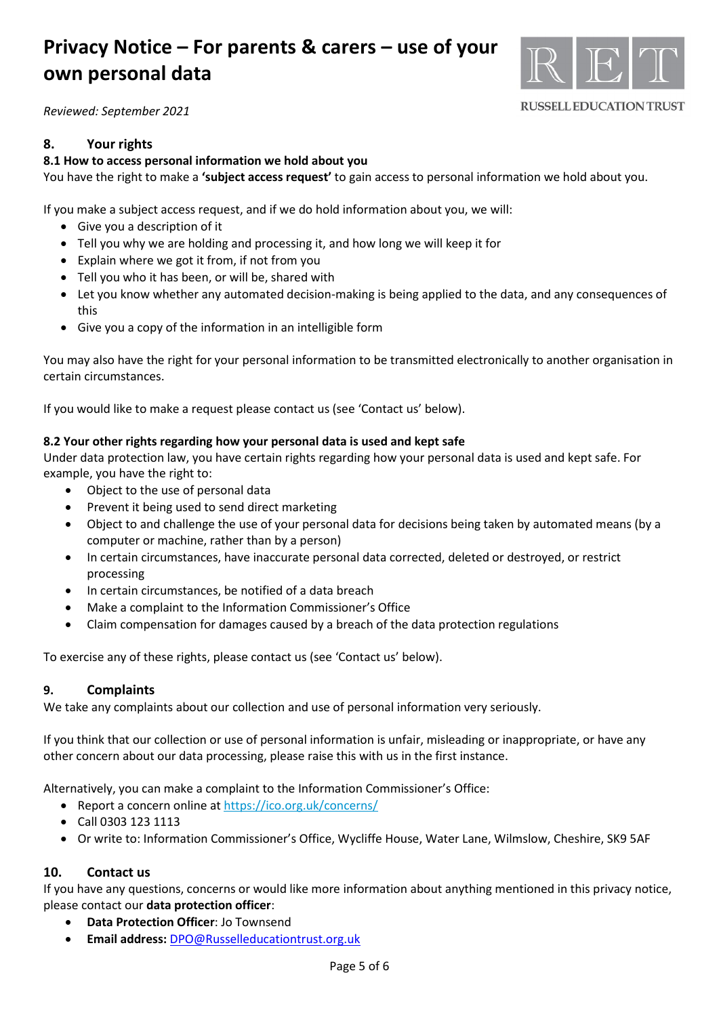

**RUSSELL EDUCATION TRUST** 

*Reviewed: September 2021*

## **8. Your rights**

#### **8.1 How to access personal information we hold about you**

You have the right to make a **'subject access request'** to gain access to personal information we hold about you.

If you make a subject access request, and if we do hold information about you, we will:

- Give you a description of it
- Tell you why we are holding and processing it, and how long we will keep it for
- Explain where we got it from, if not from you
- Tell you who it has been, or will be, shared with
- Let you know whether any automated decision-making is being applied to the data, and any consequences of this
- Give you a copy of the information in an intelligible form

You may also have the right for your personal information to be transmitted electronically to another organisation in certain circumstances.

If you would like to make a request please contact us (see 'Contact us' below).

#### **8.2 Your other rights regarding how your personal data is used and kept safe**

Under data protection law, you have certain rights regarding how your personal data is used and kept safe. For example, you have the right to:

- Object to the use of personal data
- Prevent it being used to send direct marketing
- Object to and challenge the use of your personal data for decisions being taken by automated means (by a computer or machine, rather than by a person)
- In certain circumstances, have inaccurate personal data corrected, deleted or destroyed, or restrict processing
- In certain circumstances, be notified of a data breach
- Make a complaint to the Information Commissioner's Office
- Claim compensation for damages caused by a breach of the data protection regulations

To exercise any of these rights, please contact us (see 'Contact us' below).

### **9. Complaints**

We take any complaints about our collection and use of personal information very seriously.

If you think that our collection or use of personal information is unfair, misleading or inappropriate, or have any other concern about our data processing, please raise this with us in the first instance.

Alternatively, you can make a complaint to the Information Commissioner's Office:

- Report a concern online at<https://ico.org.uk/concerns/>
- Call 0303 123 1113
- Or write to: Information Commissioner's Office, Wycliffe House, Water Lane, Wilmslow, Cheshire, SK9 5AF

### **10. Contact us**

If you have any questions, concerns or would like more information about anything mentioned in this privacy notice, please contact our **data protection officer**:

- **Data Protection Officer**: Jo Townsend
- **Email address:** [DPO@Russelleducationtrust.org.uk](mailto:DPO@Russelleducationtrust.org.uk)